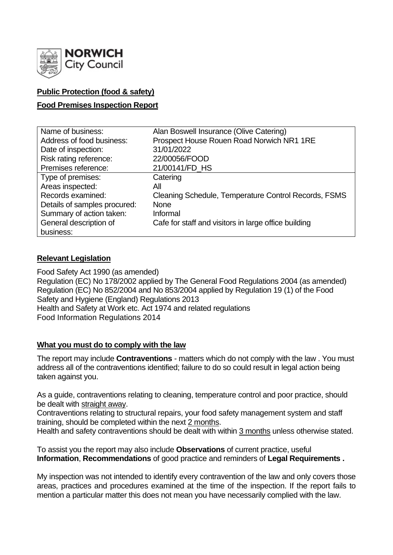

# **Public Protection (food & safety)**

## **Food Premises Inspection Report**

| Name of business:            | Alan Boswell Insurance (Olive Catering)              |
|------------------------------|------------------------------------------------------|
| Address of food business:    | Prospect House Rouen Road Norwich NR1 1RE            |
| Date of inspection:          | 31/01/2022                                           |
| Risk rating reference:       | 22/00056/FOOD                                        |
| Premises reference:          | 21/00141/FD_HS                                       |
| Type of premises:            | Catering                                             |
| Areas inspected:             | All                                                  |
| Records examined:            | Cleaning Schedule, Temperature Control Records, FSMS |
| Details of samples procured: | <b>None</b>                                          |
| Summary of action taken:     | Informal                                             |
| General description of       | Cafe for staff and visitors in large office building |
| business:                    |                                                      |

### **Relevant Legislation**

Food Safety Act 1990 (as amended) Regulation (EC) No 178/2002 applied by The General Food Regulations 2004 (as amended) Regulation (EC) No 852/2004 and No 853/2004 applied by Regulation 19 (1) of the Food Safety and Hygiene (England) Regulations 2013 Health and Safety at Work etc. Act 1974 and related regulations Food Information Regulations 2014

### **What you must do to comply with the law**

The report may include **Contraventions** - matters which do not comply with the law . You must address all of the contraventions identified; failure to do so could result in legal action being taken against you.

As a guide, contraventions relating to cleaning, temperature control and poor practice, should be dealt with straight away.

Contraventions relating to structural repairs, your food safety management system and staff training, should be completed within the next 2 months.

Health and safety contraventions should be dealt with within 3 months unless otherwise stated.

To assist you the report may also include **Observations** of current practice, useful **Information**, **Recommendations** of good practice and reminders of **Legal Requirements .**

My inspection was not intended to identify every contravention of the law and only covers those areas, practices and procedures examined at the time of the inspection. If the report fails to mention a particular matter this does not mean you have necessarily complied with the law.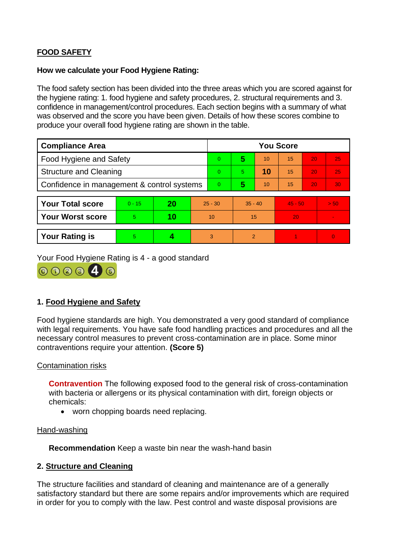# **FOOD SAFETY**

### **How we calculate your Food Hygiene Rating:**

The food safety section has been divided into the three areas which you are scored against for the hygiene rating: 1. food hygiene and safety procedures, 2. structural requirements and 3. confidence in management/control procedures. Each section begins with a summary of what was observed and the score you have been given. Details of how these scores combine to produce your overall food hygiene rating are shown in the table.

| <b>Compliance Area</b>                     |          |    |           | <b>You Score</b> |                |    |           |    |                |  |  |
|--------------------------------------------|----------|----|-----------|------------------|----------------|----|-----------|----|----------------|--|--|
| <b>Food Hygiene and Safety</b>             |          |    |           | $\overline{0}$   | 5              | 10 | 15        | 20 | 25             |  |  |
| <b>Structure and Cleaning</b>              |          |    |           | $\Omega$         | 5.             | 10 | 15        | 20 | 25             |  |  |
| Confidence in management & control systems |          |    |           | $\Omega$         | 5              | 10 | 15        | 20 | 30             |  |  |
|                                            |          |    |           |                  |                |    |           |    |                |  |  |
| <b>Your Total score</b>                    | $0 - 15$ | 20 | $25 - 30$ |                  | $35 - 40$      |    | $45 - 50$ |    | > 50           |  |  |
| <b>Your Worst score</b>                    | 5        | 10 | 10        |                  | 15             |    | 20        |    | $\blacksquare$ |  |  |
|                                            |          |    |           |                  |                |    |           |    |                |  |  |
| <b>Your Rating is</b>                      | 5        |    |           | 3                | $\overline{2}$ |    |           |    | $\overline{0}$ |  |  |

Your Food Hygiene Rating is 4 - a good standard



# **1. Food Hygiene and Safety**

Food hygiene standards are high. You demonstrated a very good standard of compliance with legal requirements. You have safe food handling practices and procedures and all the necessary control measures to prevent cross-contamination are in place. Some minor contraventions require your attention. **(Score 5)**

### Contamination risks

**Contravention** The following exposed food to the general risk of cross-contamination with bacteria or allergens or its physical contamination with dirt, foreign objects or chemicals:

• worn chopping boards need replacing.

#### Hand-washing

**Recommendation** Keep a waste bin near the wash-hand basin

### **2. Structure and Cleaning**

The structure facilities and standard of cleaning and maintenance are of a generally satisfactory standard but there are some repairs and/or improvements which are required in order for you to comply with the law. Pest control and waste disposal provisions are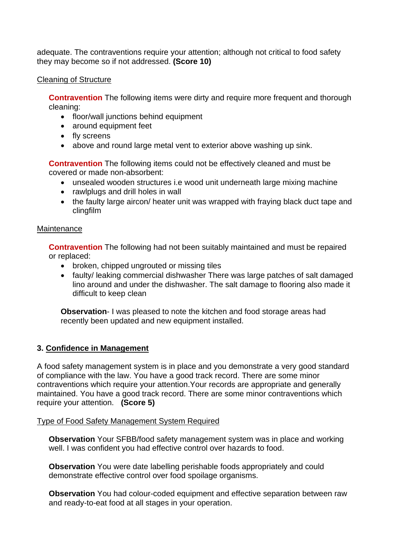adequate. The contraventions require your attention; although not critical to food safety they may become so if not addressed. **(Score 10)**

## Cleaning of Structure

**Contravention** The following items were dirty and require more frequent and thorough cleaning:

- floor/wall junctions behind equipment
- around equipment feet
- fly screens
- above and round large metal vent to exterior above washing up sink.

**Contravention** The following items could not be effectively cleaned and must be covered or made non-absorbent:

- unsealed wooden structures i.e wood unit underneath large mixing machine
- rawlplugs and drill holes in wall
- the faulty large aircon/ heater unit was wrapped with fraying black duct tape and clingfilm

## **Maintenance**

**Contravention** The following had not been suitably maintained and must be repaired or replaced:

- broken, chipped ungrouted or missing tiles
- faulty/ leaking commercial dishwasher There was large patches of salt damaged lino around and under the dishwasher. The salt damage to flooring also made it difficult to keep clean

**Observation**- I was pleased to note the kitchen and food storage areas had recently been updated and new equipment installed.

# **3. Confidence in Management**

A food safety management system is in place and you demonstrate a very good standard of compliance with the law. You have a good track record. There are some minor contraventions which require your attention.Your records are appropriate and generally maintained. You have a good track record. There are some minor contraventions which require your attention. **(Score 5)**

# Type of Food Safety Management System Required

**Observation** Your SFBB/food safety management system was in place and working well. I was confident you had effective control over hazards to food.

**Observation** You were date labelling perishable foods appropriately and could demonstrate effective control over food spoilage organisms.

**Observation** You had colour-coded equipment and effective separation between raw and ready-to-eat food at all stages in your operation.